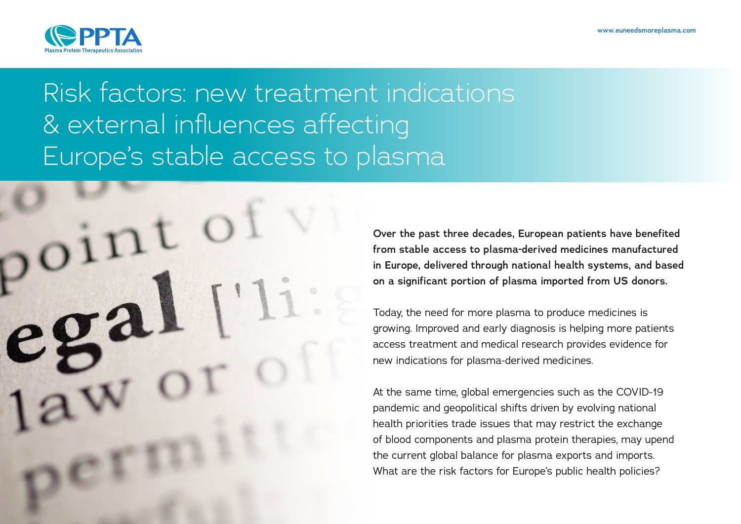

# Risk factors: new treatment indications & external influences affecting Europe's stable access to plasma

**Over the past three decades, European patients have benefited from stable access to plasma-derived medicines manufactured in Europe, delivered through national health systems, and based on a significant portion of plasma imported from US donors.**

Today, the need for more plasma to produce medicines is growing. Improved and early diagnosis is helping more patients access treatment and medical research provides evidence for new indications for plasma-derived medicines.

At the same time, global emergencies such as the COVID-19 pandemic and geopolitical shifts driven by evolving national health priorities trade issues that may restrict the exchange of blood components and plasma protein therapies, may upend the current global balance for plasma exports and imports. What are the risk factors for Europe's public health policies?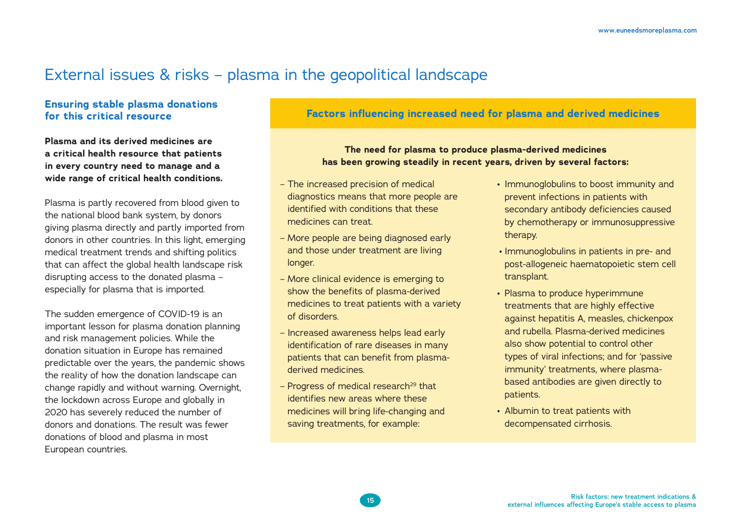## External issues & risks – plasma in the geopolitical landscape

#### **Ensuring stable plasma donations for this critical resource**

**Plasma and its derived medicines are a critical health resource that patients in every country need to manage and a wide range of critical health conditions.** 

Plasma is partly recovered from blood given to the national blood bank system, by donors giving plasma directly and partly imported from donors in other countries. In this light, emerging medical treatment trends and shifting politics that can affect the global health landscape risk disrupting access to the donated plasma – especially for plasma that is imported.

The sudden emergence of COVID-19 is an important lesson for plasma donation planning and risk management policies. While the donation situation in Europe has remained predictable over the years, the pandemic shows the reality of how the donation landscape can change rapidly and without warning. Overnight, the lockdown across Europe and globally in 2020 has severely reduced the number of donors and donations. The result was fewer donations of blood and plasma in most European countries.

### **Factors influencing increased need for plasma and derived medicines**

#### **The need for plasma to produce plasma-derived medicines has been growing steadily in recent years, driven by several factors:**

- The increased precision of medical diagnostics means that more people are identified with conditions that these medicines can treat.
- More people are being diagnosed early and those under treatment are living longer.
- More clinical evidence is emerging to show the benefits of plasma-derived medicines to treat patients with a variety of disorders.
- Increased awareness helps lead early identification of rare diseases in many patients that can benefit from plasmaderived medicines.
- $-$  Progress of medical research<sup>29</sup> that identifies new areas where these medicines will bring life-changing and saving treatments, for example:
- Immunoglobulins to boost immunity and prevent infections in patients with secondary antibody deficiencies caused by chemotherapy or immunosuppressive therapy.
- Immunoglobulins in patients in pre- and post-allogeneic haematopoietic stem cell transplant.
- Plasma to produce hyperimmune treatments that are highly effective against hepatitis A, measles, chickenpox and rubella. Plasma-derived medicines also show potential to control other types of viral infections; and for 'passive immunity' treatments, where plasmabased antibodies are given directly to patients.
- Albumin to treat patients with decompensated cirrhosis.